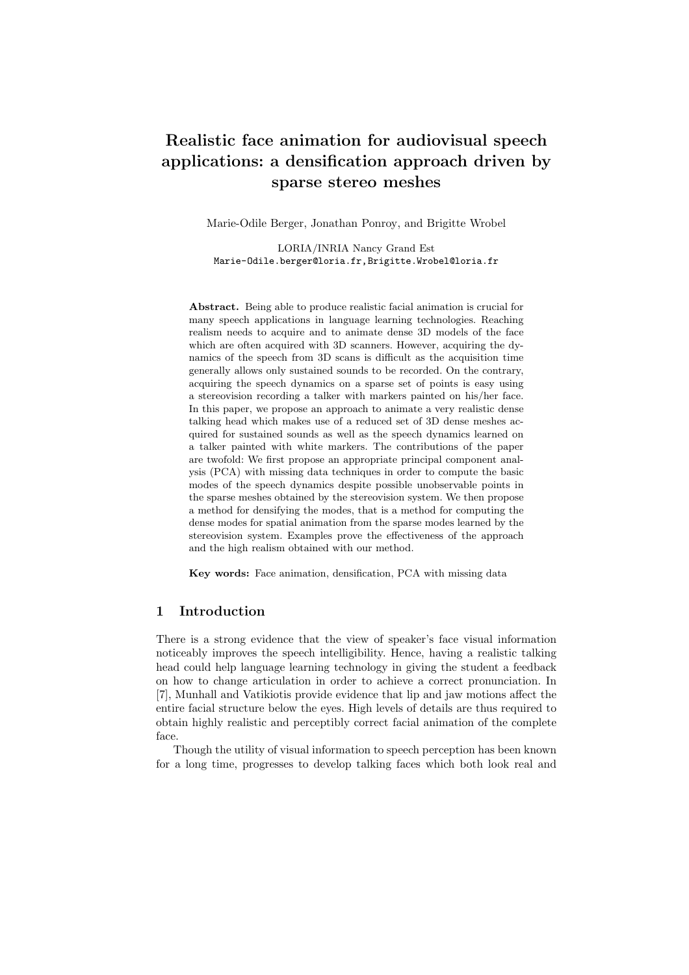# Realistic face animation for audiovisual speech applications: a densification approach driven by sparse stereo meshes

Marie-Odile Berger, Jonathan Ponroy, and Brigitte Wrobel

LORIA/INRIA Nancy Grand Est Marie-Odile.berger@loria.fr,Brigitte.Wrobel@loria.fr

Abstract. Being able to produce realistic facial animation is crucial for many speech applications in language learning technologies. Reaching realism needs to acquire and to animate dense 3D models of the face which are often acquired with 3D scanners. However, acquiring the dynamics of the speech from 3D scans is difficult as the acquisition time generally allows only sustained sounds to be recorded. On the contrary, acquiring the speech dynamics on a sparse set of points is easy using a stereovision recording a talker with markers painted on his/her face. In this paper, we propose an approach to animate a very realistic dense talking head which makes use of a reduced set of 3D dense meshes acquired for sustained sounds as well as the speech dynamics learned on a talker painted with white markers. The contributions of the paper are twofold: We first propose an appropriate principal component analysis (PCA) with missing data techniques in order to compute the basic modes of the speech dynamics despite possible unobservable points in the sparse meshes obtained by the stereovision system. We then propose a method for densifying the modes, that is a method for computing the dense modes for spatial animation from the sparse modes learned by the stereovision system. Examples prove the effectiveness of the approach and the high realism obtained with our method.

Key words: Face animation, densification, PCA with missing data

# 1 Introduction

There is a strong evidence that the view of speaker's face visual information noticeably improves the speech intelligibility. Hence, having a realistic talking head could help language learning technology in giving the student a feedback on how to change articulation in order to achieve a correct pronunciation. In [7], Munhall and Vatikiotis provide evidence that lip and jaw motions affect the entire facial structure below the eyes. High levels of details are thus required to obtain highly realistic and perceptibly correct facial animation of the complete face.

Though the utility of visual information to speech perception has been known for a long time, progresses to develop talking faces which both look real and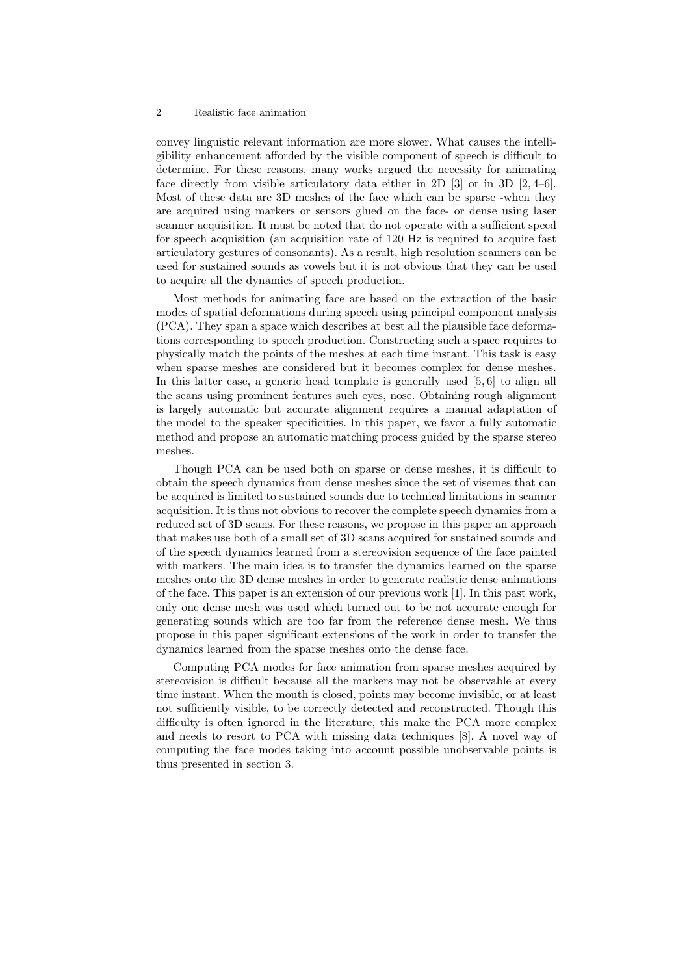convey linguistic relevant information are more slower. What causes the intelligibility enhancement afforded by the visible component of speech is difficult to determine. For these reasons, many works argued the necessity for animating face directly from visible articulatory data either in 2D  $[3]$  or in 3D  $[2, 4-6]$ . Most of these data are 3D meshes of the face which can be sparse -when they are acquired using markers or sensors glued on the face- or dense using laser scanner acquisition. It must be noted that do not operate with a sufficient speed for speech acquisition (an acquisition rate of 120 Hz is required to acquire fast articulatory gestures of consonants). As a result, high resolution scanners can be used for sustained sounds as vowels but it is not obvious that they can be used to acquire all the dynamics of speech production.

Most methods for animating face are based on the extraction of the basic modes of spatial deformations during speech using principal component analysis (PCA). They span a space which describes at best all the plausible face deformations corresponding to speech production. Constructing such a space requires to physically match the points of the meshes at each time instant. This task is easy when sparse meshes are considered but it becomes complex for dense meshes. In this latter case, a generic head template is generally used [5, 6] to align all the scans using prominent features such eyes, nose. Obtaining rough alignment is largely automatic but accurate alignment requires a manual adaptation of the model to the speaker specificities. In this paper, we favor a fully automatic method and propose an automatic matching process guided by the sparse stereo meshes.

Though PCA can be used both on sparse or dense meshes, it is difficult to obtain the speech dynamics from dense meshes since the set of visemes that can be acquired is limited to sustained sounds due to technical limitations in scanner acquisition. It is thus not obvious to recover the complete speech dynamics from a reduced set of 3D scans. For these reasons, we propose in this paper an approach that makes use both of a small set of 3D scans acquired for sustained sounds and of the speech dynamics learned from a stereovision sequence of the face painted with markers. The main idea is to transfer the dynamics learned on the sparse meshes onto the 3D dense meshes in order to generate realistic dense animations of the face. This paper is an extension of our previous work [1]. In this past work, only one dense mesh was used which turned out to be not accurate enough for generating sounds which are too far from the reference dense mesh. We thus propose in this paper significant extensions of the work in order to transfer the dynamics learned from the sparse meshes onto the dense face.

Computing PCA modes for face animation from sparse meshes acquired by stereovision is difficult because all the markers may not be observable at every time instant. When the mouth is closed, points may become invisible, or at least not sufficiently visible, to be correctly detected and reconstructed. Though this difficulty is often ignored in the literature, this make the PCA more complex and needs to resort to PCA with missing data techniques [8]. A novel way of computing the face modes taking into account possible unobservable points is thus presented in section 3.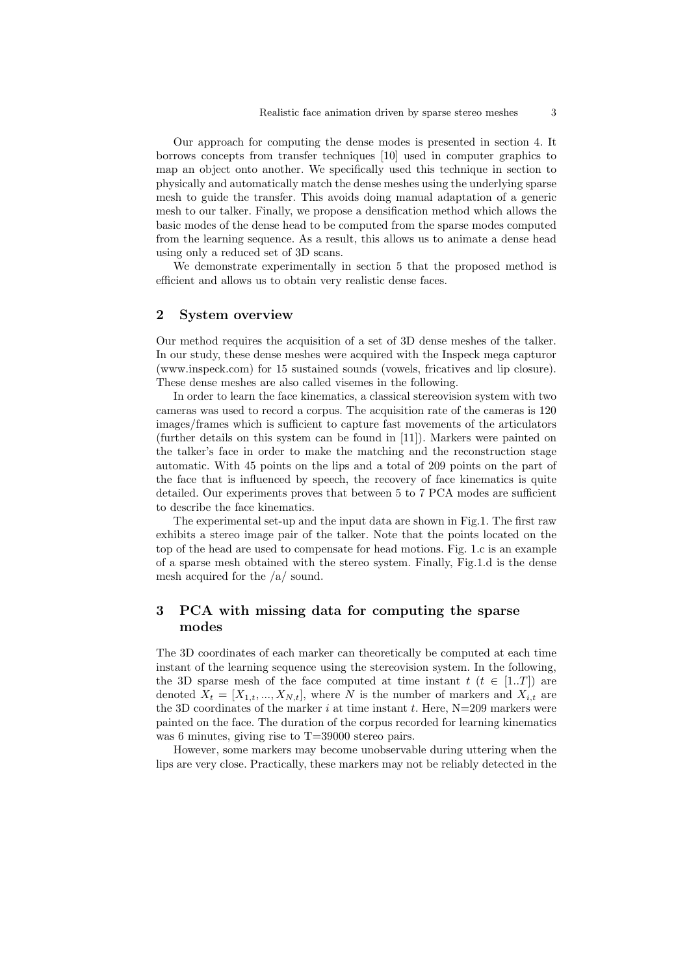Our approach for computing the dense modes is presented in section 4. It borrows concepts from transfer techniques [10] used in computer graphics to map an object onto another. We specifically used this technique in section to physically and automatically match the dense meshes using the underlying sparse mesh to guide the transfer. This avoids doing manual adaptation of a generic mesh to our talker. Finally, we propose a densification method which allows the basic modes of the dense head to be computed from the sparse modes computed from the learning sequence. As a result, this allows us to animate a dense head using only a reduced set of 3D scans.

We demonstrate experimentally in section 5 that the proposed method is efficient and allows us to obtain very realistic dense faces.

## 2 System overview

Our method requires the acquisition of a set of 3D dense meshes of the talker. In our study, these dense meshes were acquired with the Inspeck mega capturor (www.inspeck.com) for 15 sustained sounds (vowels, fricatives and lip closure). These dense meshes are also called visemes in the following.

In order to learn the face kinematics, a classical stereovision system with two cameras was used to record a corpus. The acquisition rate of the cameras is 120 images/frames which is sufficient to capture fast movements of the articulators (further details on this system can be found in [11]). Markers were painted on the talker's face in order to make the matching and the reconstruction stage automatic. With 45 points on the lips and a total of 209 points on the part of the face that is influenced by speech, the recovery of face kinematics is quite detailed. Our experiments proves that between 5 to 7 PCA modes are sufficient to describe the face kinematics.

The experimental set-up and the input data are shown in Fig.1. The first raw exhibits a stereo image pair of the talker. Note that the points located on the top of the head are used to compensate for head motions. Fig. 1.c is an example of a sparse mesh obtained with the stereo system. Finally, Fig.1.d is the dense mesh acquired for the /a/ sound.

# 3 PCA with missing data for computing the sparse modes

The 3D coordinates of each marker can theoretically be computed at each time instant of the learning sequence using the stereovision system. In the following, the 3D sparse mesh of the face computed at time instant  $t$  ( $t \in [1..T]$ ) are denoted  $X_t = [X_{1,t},...,X_{N,t}]$ , where N is the number of markers and  $X_{i,t}$  are the 3D coordinates of the marker i at time instant  $t$ . Here,  $N=209$  markers were painted on the face. The duration of the corpus recorded for learning kinematics was 6 minutes, giving rise to  $T=39000$  stereo pairs.

However, some markers may become unobservable during uttering when the lips are very close. Practically, these markers may not be reliably detected in the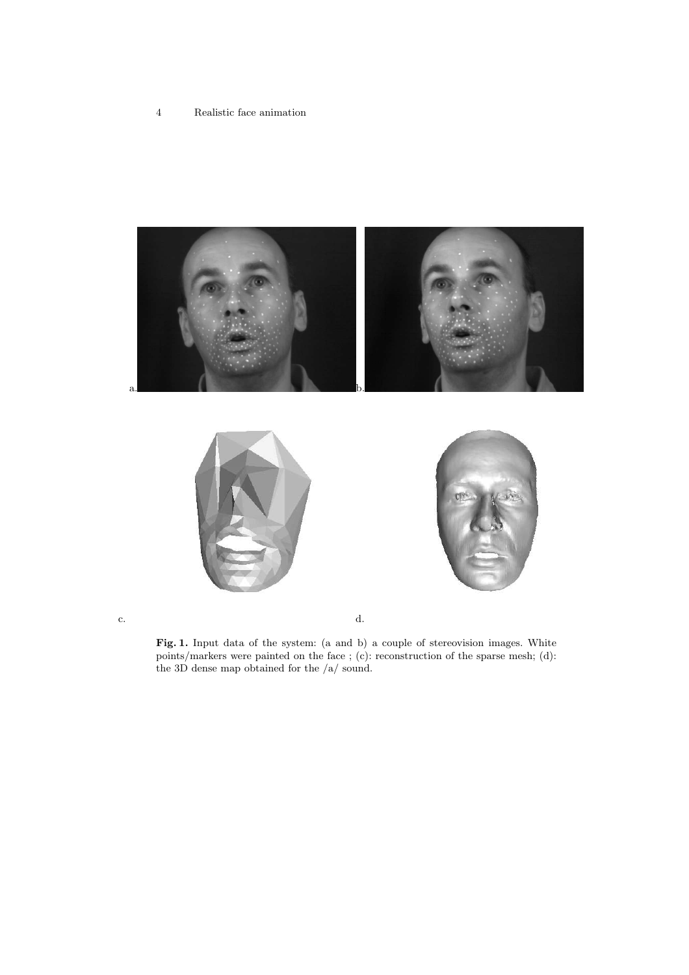

Fig. 1. Input data of the system: (a and b) a couple of stereovision images. White points/markers were painted on the face ; (c): reconstruction of the sparse mesh; (d): the 3D dense map obtained for the /a/ sound.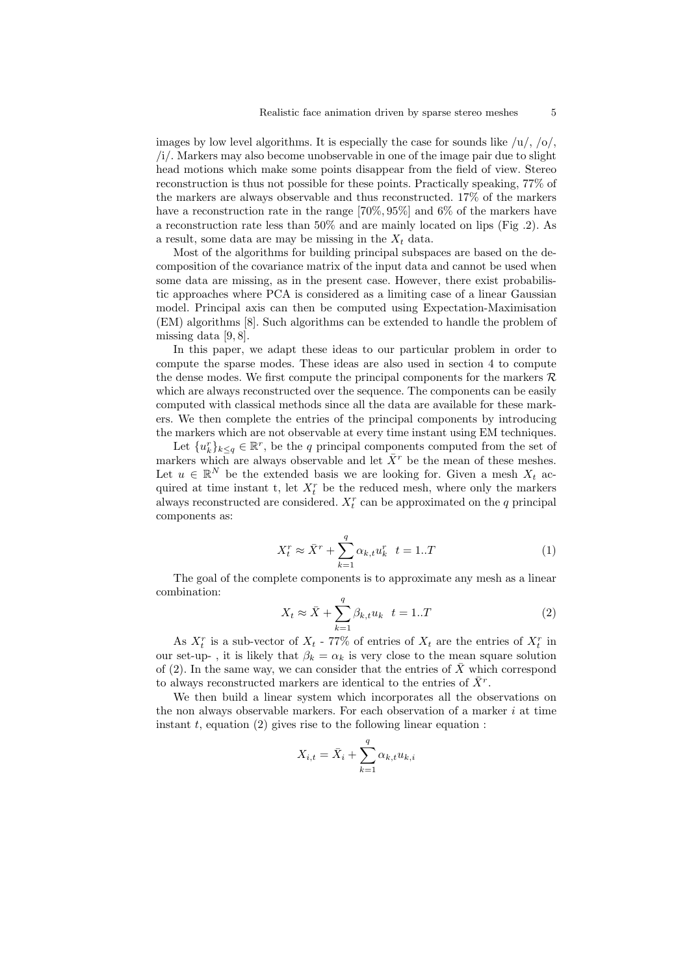images by low level algorithms. It is especially the case for sounds like  $/u/$ ,  $/\sigma/$ , /i/. Markers may also become unobservable in one of the image pair due to slight head motions which make some points disappear from the field of view. Stereo reconstruction is thus not possible for these points. Practically speaking, 77% of the markers are always observable and thus reconstructed. 17% of the markers have a reconstruction rate in the range [70\%, 95\%] and 6\% of the markers have a reconstruction rate less than 50% and are mainly located on lips (Fig .2). As a result, some data are may be missing in the  $X_t$  data.

Most of the algorithms for building principal subspaces are based on the decomposition of the covariance matrix of the input data and cannot be used when some data are missing, as in the present case. However, there exist probabilistic approaches where PCA is considered as a limiting case of a linear Gaussian model. Principal axis can then be computed using Expectation-Maximisation (EM) algorithms [8]. Such algorithms can be extended to handle the problem of missing data [9, 8].

In this paper, we adapt these ideas to our particular problem in order to compute the sparse modes. These ideas are also used in section 4 to compute the dense modes. We first compute the principal components for the markers  $\mathcal R$ which are always reconstructed over the sequence. The components can be easily computed with classical methods since all the data are available for these markers. We then complete the entries of the principal components by introducing the markers which are not observable at every time instant using EM techniques.

Let  $\{u_k^r\}_{k\leq q} \in \mathbb{R}^r$ , be the q principal components computed from the set of markers which are always observable and let  $\bar{X}^r$  be the mean of these meshes. Let  $u \in \mathbb{R}^N$  be the extended basis we are looking for. Given a mesh  $X_t$  acquired at time instant t, let  $X_t^r$  be the reduced mesh, where only the markers always reconstructed are considered.  $X_t^r$  can be approximated on the  $q$  principal components as:

$$
X_t^r \approx \bar{X}^r + \sum_{k=1}^q \alpha_{k,t} u_k^r \quad t = 1..T \tag{1}
$$

The goal of the complete components is to approximate any mesh as a linear combination:

$$
X_t \approx \bar{X} + \sum_{k=1}^{q} \beta_{k,t} u_k \quad t = 1..T
$$
 (2)

As  $X_t^r$  is a sub-vector of  $X_t$  - 77% of entries of  $X_t$  are the entries of  $X_t^r$  in our set-up-, it is likely that  $\beta_k = \alpha_k$  is very close to the mean square solution of (2). In the same way, we can consider that the entries of  $\overline{X}$  which correspond to always reconstructed markers are identical to the entries of  $\bar{X}^r$ .

We then build a linear system which incorporates all the observations on the non always observable markers. For each observation of a marker  $i$  at time instant t, equation (2) gives rise to the following linear equation :

$$
X_{i,t} = \bar{X}_i + \sum_{k=1}^{q} \alpha_{k,t} u_{k,i}
$$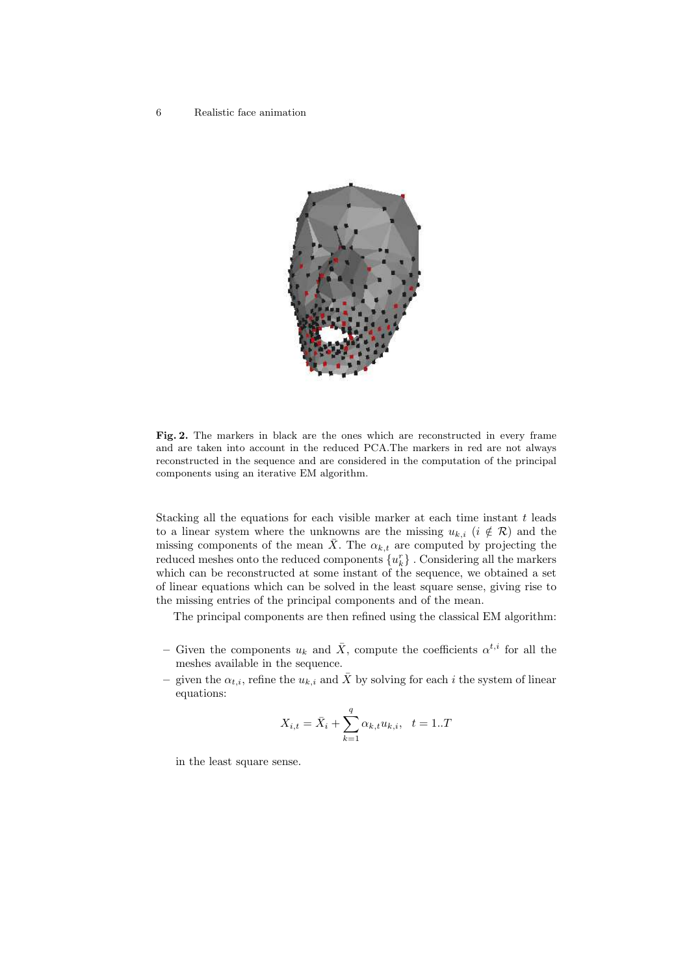

Fig. 2. The markers in black are the ones which are reconstructed in every frame and are taken into account in the reduced PCA.The markers in red are not always reconstructed in the sequence and are considered in the computation of the principal components using an iterative EM algorithm.

Stacking all the equations for each visible marker at each time instant  $t$  leads to a linear system where the unknowns are the missing  $u_{k,i}$  ( $i \notin \mathcal{R}$ ) and the missing components of the mean  $\bar{X}$ . The  $\alpha_{k,t}$  are computed by projecting the reduced meshes onto the reduced components  $\{u_k^r\}$  . Considering all the markers which can be reconstructed at some instant of the sequence, we obtained a set of linear equations which can be solved in the least square sense, giving rise to the missing entries of the principal components and of the mean.

The principal components are then refined using the classical EM algorithm:

- Given the components  $u_k$  and  $\bar{X}$ , compute the coefficients  $\alpha^{t,i}$  for all the meshes available in the sequence.
- given the  $\alpha_{t,i}$ , refine the  $u_{k,i}$  and  $\bar{X}$  by solving for each i the system of linear equations:

$$
X_{i,t} = \bar{X}_i + \sum_{k=1}^{q} \alpha_{k,t} u_{k,i}, \quad t = 1..T
$$

in the least square sense.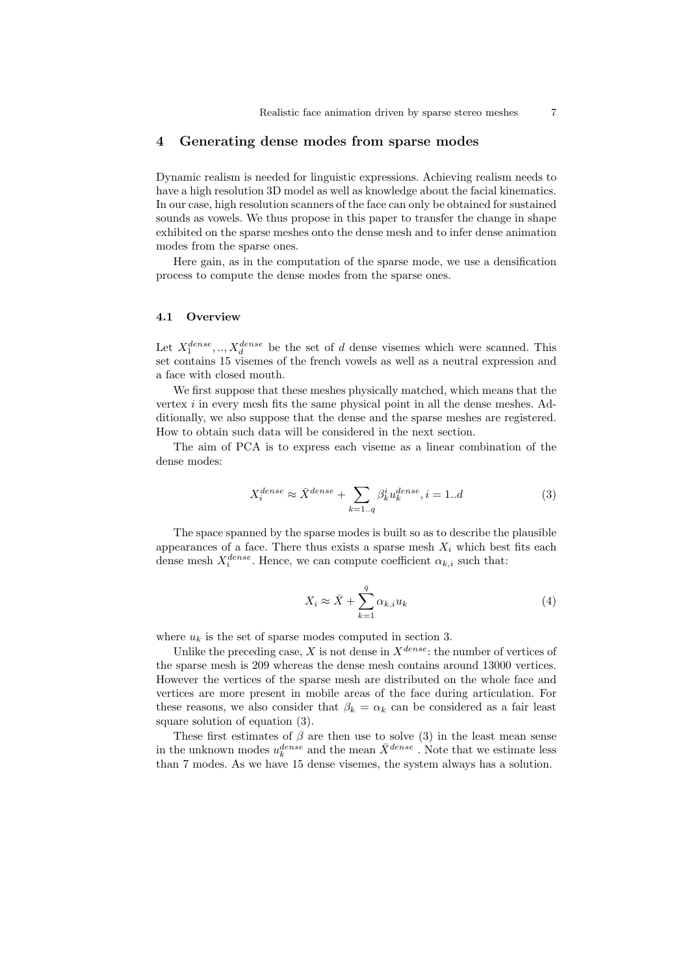#### 4 Generating dense modes from sparse modes

Dynamic realism is needed for linguistic expressions. Achieving realism needs to have a high resolution 3D model as well as knowledge about the facial kinematics. In our case, high resolution scanners of the face can only be obtained for sustained sounds as vowels. We thus propose in this paper to transfer the change in shape exhibited on the sparse meshes onto the dense mesh and to infer dense animation modes from the sparse ones.

Here gain, as in the computation of the sparse mode, we use a densification process to compute the dense modes from the sparse ones.

#### 4.1 Overview

Let  $X_1^{dense},...,X_d^{dense}$  be the set of d dense visemes which were scanned. This set contains 15 visemes of the french vowels as well as a neutral expression and a face with closed mouth.

We first suppose that these meshes physically matched, which means that the vertex  $i$  in every mesh fits the same physical point in all the dense meshes. Additionally, we also suppose that the dense and the sparse meshes are registered. How to obtain such data will be considered in the next section.

The aim of PCA is to express each viseme as a linear combination of the dense modes:

$$
X_i^{dense} \approx \bar{X}^{dense} + \sum_{k=1..q} \beta_k^i u_k^{dense}, i = 1..d
$$
 (3)

The space spanned by the sparse modes is built so as to describe the plausible appearances of a face. There thus exists a sparse mesh  $X_i$  which best fits each dense mesh  $X_i^{dense}$ . Hence, we can compute coefficient  $\alpha_{k,i}$  such that:

$$
X_i \approx \bar{X} + \sum_{k=1}^{q} \alpha_{k,i} u_k \tag{4}
$$

where  $u_k$  is the set of sparse modes computed in section 3.

Unlike the preceding case, X is not dense in  $X^{dense}$ : the number of vertices of the sparse mesh is 209 whereas the dense mesh contains around 13000 vertices. However the vertices of the sparse mesh are distributed on the whole face and vertices are more present in mobile areas of the face during articulation. For these reasons, we also consider that  $\beta_k = \alpha_k$  can be considered as a fair least square solution of equation (3).

These first estimates of  $\beta$  are then use to solve (3) in the least mean sense in the unknown modes  $u_k^{dense}$  and the mean  $\bar{X}^{dense}$ . Note that we estimate less than 7 modes. As we have 15 dense visemes, the system always has a solution.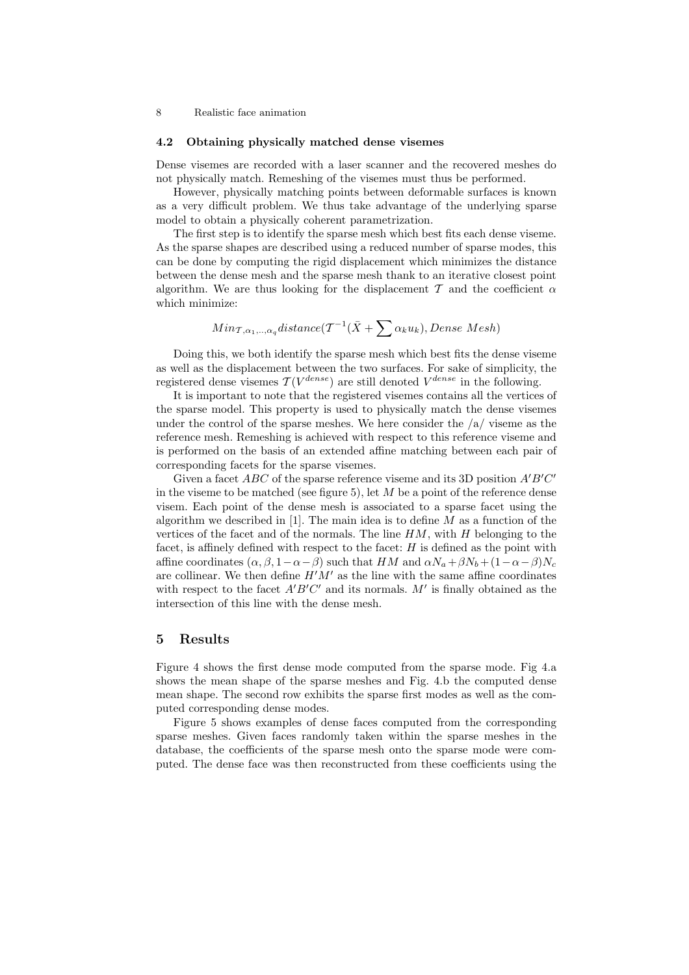#### 4.2 Obtaining physically matched dense visemes

Dense visemes are recorded with a laser scanner and the recovered meshes do not physically match. Remeshing of the visemes must thus be performed.

However, physically matching points between deformable surfaces is known as a very difficult problem. We thus take advantage of the underlying sparse model to obtain a physically coherent parametrization.

The first step is to identify the sparse mesh which best fits each dense viseme. As the sparse shapes are described using a reduced number of sparse modes, this can be done by computing the rigid displacement which minimizes the distance between the dense mesh and the sparse mesh thank to an iterative closest point algorithm. We are thus looking for the displacement  $\mathcal T$  and the coefficient  $\alpha$ which minimize:

$$
Min_{\mathcal{T}, \alpha_1, \dots, \alpha_q} distance(\mathcal{T}^{-1}(\bar{X} + \sum \alpha_k u_k), Dense \;Mesh)
$$

Doing this, we both identify the sparse mesh which best fits the dense viseme as well as the displacement between the two surfaces. For sake of simplicity, the registered dense visemes  $\mathcal{T}(V^{dense})$  are still denoted  $V^{dense}$  in the following.

It is important to note that the registered visemes contains all the vertices of the sparse model. This property is used to physically match the dense visemes under the control of the sparse meshes. We here consider the  $\frac{a}{x}$  viseme as the reference mesh. Remeshing is achieved with respect to this reference viseme and is performed on the basis of an extended affine matching between each pair of corresponding facets for the sparse visemes.

Given a facet  $ABC$  of the sparse reference viseme and its 3D position  $A'B'C'$ in the viseme to be matched (see figure 5), let  $M$  be a point of the reference dense visem. Each point of the dense mesh is associated to a sparse facet using the algorithm we described in [1]. The main idea is to define  $M$  as a function of the vertices of the facet and of the normals. The line  $HM$ , with  $H$  belonging to the facet, is affinely defined with respect to the facet:  $H$  is defined as the point with affine coordinates  $(\alpha, \beta, 1-\alpha-\beta)$  such that  $HM$  and  $\alpha N_a + \beta N_b + (1-\alpha-\beta)N_c$ are collinear. We then define  $H'M'$  as the line with the same affine coordinates with respect to the facet  $A'B'C'$  and its normals. M' is finally obtained as the intersection of this line with the dense mesh.

## 5 Results

Figure 4 shows the first dense mode computed from the sparse mode. Fig 4.a shows the mean shape of the sparse meshes and Fig. 4.b the computed dense mean shape. The second row exhibits the sparse first modes as well as the computed corresponding dense modes.

Figure 5 shows examples of dense faces computed from the corresponding sparse meshes. Given faces randomly taken within the sparse meshes in the database, the coefficients of the sparse mesh onto the sparse mode were computed. The dense face was then reconstructed from these coefficients using the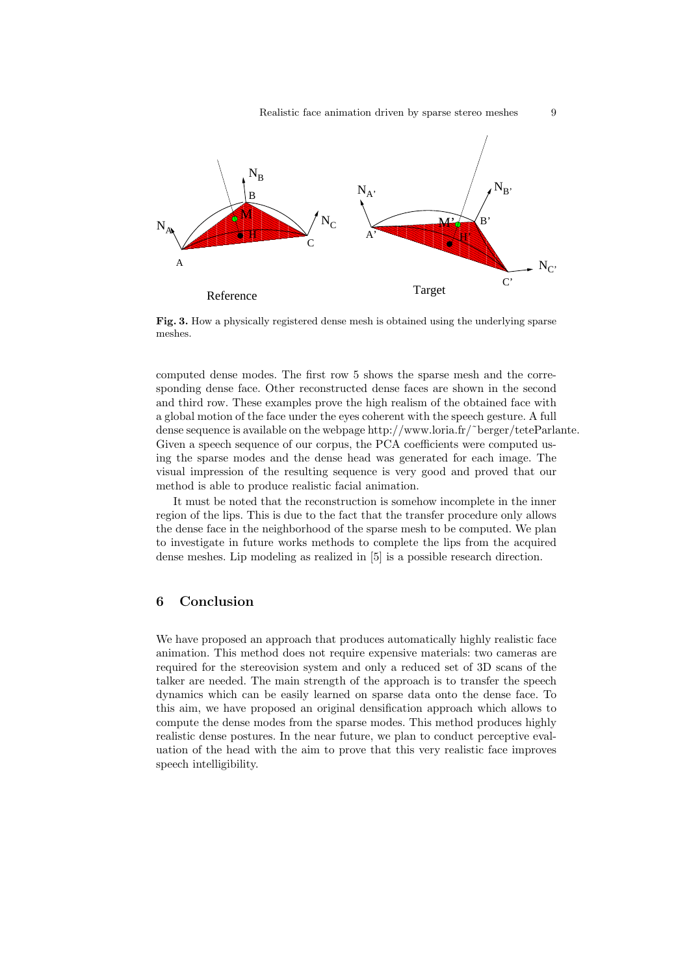

Fig. 3. How a physically registered dense mesh is obtained using the underlying sparse meshes.

computed dense modes. The first row 5 shows the sparse mesh and the corresponding dense face. Other reconstructed dense faces are shown in the second and third row. These examples prove the high realism of the obtained face with a global motion of the face under the eyes coherent with the speech gesture. A full dense sequence is available on the webpage http://www.loria.fr/˜berger/teteParlante. Given a speech sequence of our corpus, the PCA coefficients were computed using the sparse modes and the dense head was generated for each image. The visual impression of the resulting sequence is very good and proved that our method is able to produce realistic facial animation.

It must be noted that the reconstruction is somehow incomplete in the inner region of the lips. This is due to the fact that the transfer procedure only allows the dense face in the neighborhood of the sparse mesh to be computed. We plan to investigate in future works methods to complete the lips from the acquired dense meshes. Lip modeling as realized in [5] is a possible research direction.

# 6 Conclusion

We have proposed an approach that produces automatically highly realistic face animation. This method does not require expensive materials: two cameras are required for the stereovision system and only a reduced set of 3D scans of the talker are needed. The main strength of the approach is to transfer the speech dynamics which can be easily learned on sparse data onto the dense face. To this aim, we have proposed an original densification approach which allows to compute the dense modes from the sparse modes. This method produces highly realistic dense postures. In the near future, we plan to conduct perceptive evaluation of the head with the aim to prove that this very realistic face improves speech intelligibility.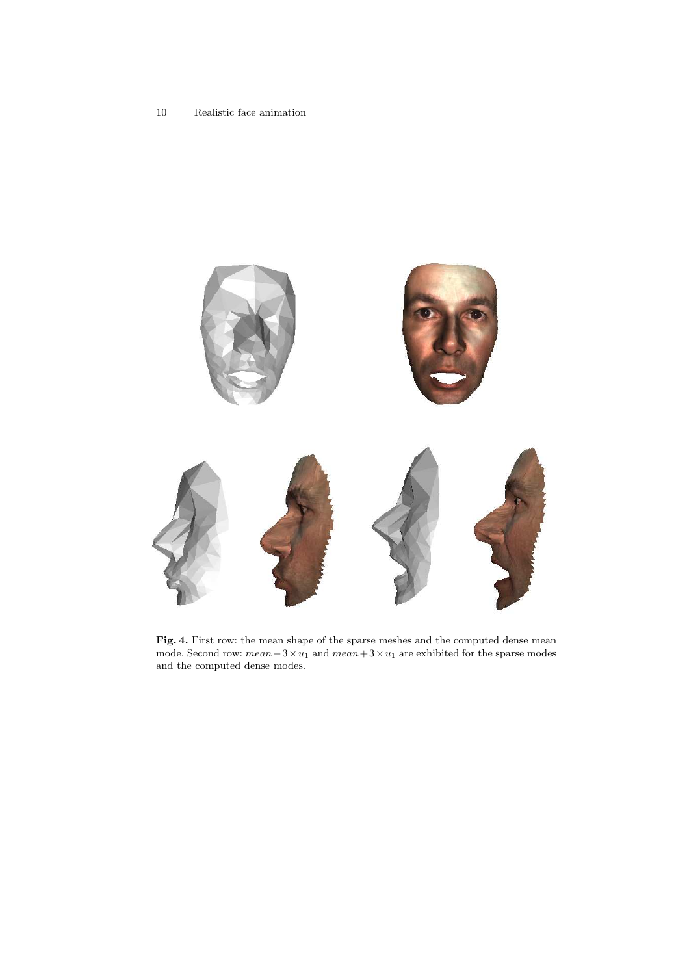

Fig. 4. First row: the mean shape of the sparse meshes and the computed dense mean mode. Second row:  $mean-3 \times u_1$  and  $mean+3 \times u_1$  are exhibited for the sparse modes and the computed dense modes.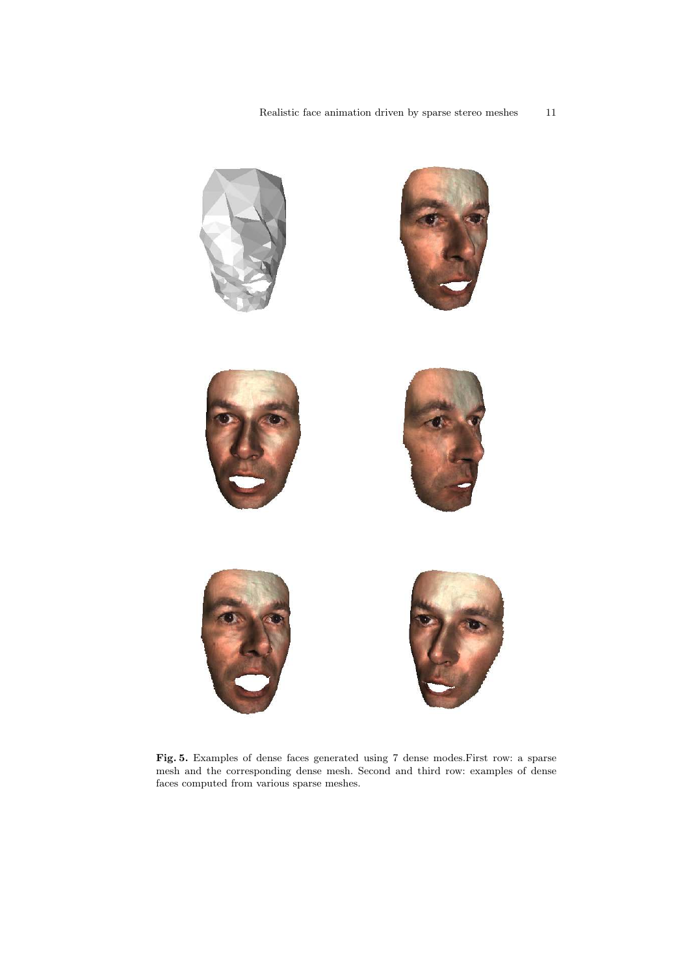

Fig. 5. Examples of dense faces generated using 7 dense modes.First row: a sparse mesh and the corresponding dense mesh. Second and third row: examples of dense faces computed from various sparse meshes.